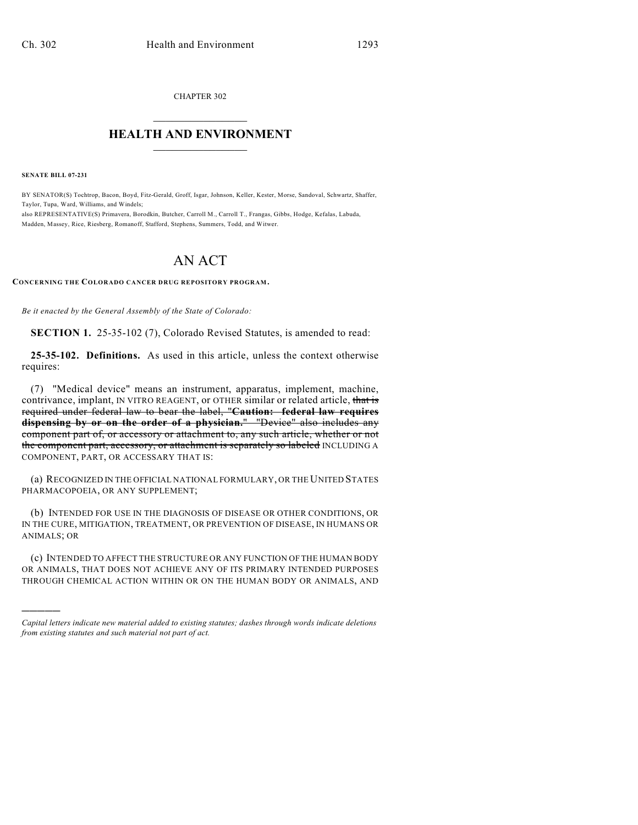CHAPTER 302  $\mathcal{L}_\text{max}$  . The set of the set of the set of the set of the set of the set of the set of the set of the set of the set of the set of the set of the set of the set of the set of the set of the set of the set of the set

## **HEALTH AND ENVIRONMENT**  $\_$

**SENATE BILL 07-231**

)))))

BY SENATOR(S) Tochtrop, Bacon, Boyd, Fitz-Gerald, Groff, Isgar, Johnson, Keller, Kester, Morse, Sandoval, Schwartz, Shaffer, Taylor, Tupa, Ward, Williams, and Windels; also REPRESENTATIVE(S) Primavera, Borodkin, Butcher, Carroll M., Carroll T., Frangas, Gibbs, Hodge, Kefalas, Labuda, Madden, Massey, Rice, Riesberg, Romanoff, Stafford, Stephens, Summers, Todd, and Witwer.

## AN ACT

## **CONCERNING THE COLORADO CANCER DRUG REPOSITORY PROGRAM.**

*Be it enacted by the General Assembly of the State of Colorado:*

**SECTION 1.** 25-35-102 (7), Colorado Revised Statutes, is amended to read:

**25-35-102. Definitions.** As used in this article, unless the context otherwise requires:

(7) "Medical device" means an instrument, apparatus, implement, machine, contrivance, implant, IN VITRO REAGENT, or OTHER similar or related article, that is required under federal law to bear the label, "**Caution: federal law requires dispensing by or on the order of a physician.**" "Device" also includes any component part of, or accessory or attachment to, any such article, whether or not the component part, accessory, or attachment is separately so labeled INCLUDING A COMPONENT, PART, OR ACCESSARY THAT IS:

(a) RECOGNIZED IN THE OFFICIAL NATIONAL FORMULARY, OR THE UNITED STATES PHARMACOPOEIA, OR ANY SUPPLEMENT;

(b) INTENDED FOR USE IN THE DIAGNOSIS OF DISEASE OR OTHER CONDITIONS, OR IN THE CURE, MITIGATION, TREATMENT, OR PREVENTION OF DISEASE, IN HUMANS OR ANIMALS; OR

(c) INTENDED TO AFFECT THE STRUCTURE OR ANY FUNCTION OF THE HUMAN BODY OR ANIMALS, THAT DOES NOT ACHIEVE ANY OF ITS PRIMARY INTENDED PURPOSES THROUGH CHEMICAL ACTION WITHIN OR ON THE HUMAN BODY OR ANIMALS, AND

*Capital letters indicate new material added to existing statutes; dashes through words indicate deletions from existing statutes and such material not part of act.*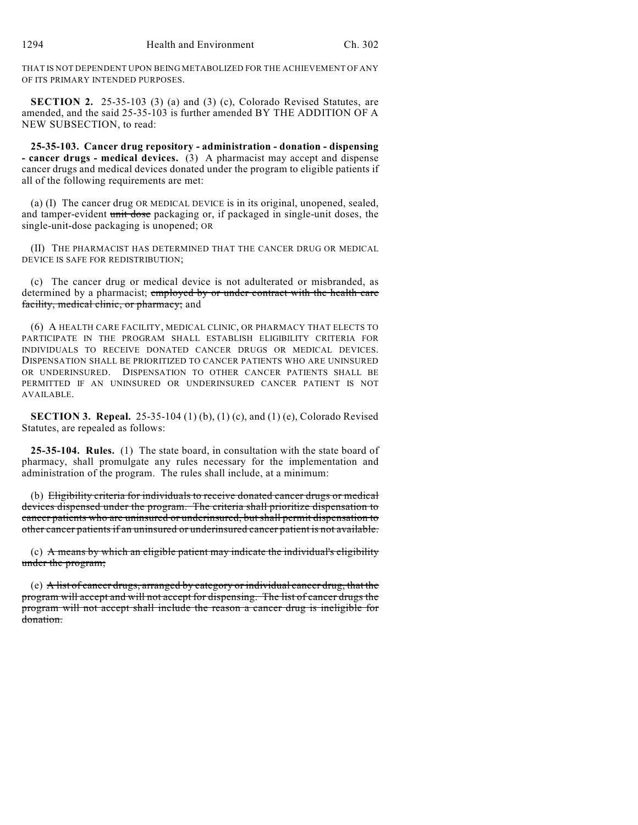THAT IS NOT DEPENDENT UPON BEING METABOLIZED FOR THE ACHIEVEMENT OF ANY OF ITS PRIMARY INTENDED PURPOSES.

**SECTION 2.** 25-35-103 (3) (a) and (3) (c), Colorado Revised Statutes, are amended, and the said 25-35-103 is further amended BY THE ADDITION OF A NEW SUBSECTION, to read:

**25-35-103. Cancer drug repository - administration - donation - dispensing - cancer drugs - medical devices.** (3) A pharmacist may accept and dispense cancer drugs and medical devices donated under the program to eligible patients if all of the following requirements are met:

(a) (I) The cancer drug OR MEDICAL DEVICE is in its original, unopened, sealed, and tamper-evident unit dose packaging or, if packaged in single-unit doses, the single-unit-dose packaging is unopened; OR

(II) THE PHARMACIST HAS DETERMINED THAT THE CANCER DRUG OR MEDICAL DEVICE IS SAFE FOR REDISTRIBUTION;

(c) The cancer drug or medical device is not adulterated or misbranded, as determined by a pharmacist; employed by or under contract with the health care facility, medical clinic, or pharmacy; and

(6) A HEALTH CARE FACILITY, MEDICAL CLINIC, OR PHARMACY THAT ELECTS TO PARTICIPATE IN THE PROGRAM SHALL ESTABLISH ELIGIBILITY CRITERIA FOR INDIVIDUALS TO RECEIVE DONATED CANCER DRUGS OR MEDICAL DEVICES. DISPENSATION SHALL BE PRIORITIZED TO CANCER PATIENTS WHO ARE UNINSURED OR UNDERINSURED. DISPENSATION TO OTHER CANCER PATIENTS SHALL BE PERMITTED IF AN UNINSURED OR UNDERINSURED CANCER PATIENT IS NOT AVAILABLE.

**SECTION 3. Repeal.** 25-35-104 (1) (b), (1) (c), and (1) (e), Colorado Revised Statutes, are repealed as follows:

**25-35-104. Rules.** (1) The state board, in consultation with the state board of pharmacy, shall promulgate any rules necessary for the implementation and administration of the program. The rules shall include, at a minimum:

(b) Eligibility criteria for individuals to receive donated cancer drugs or medical devices dispensed under the program. The criteria shall prioritize dispensation to cancer patients who are uninsured or underinsured, but shall permit dispensation to other cancer patients if an uninsured or underinsured cancer patient is not available.

(c) A means by which an eligible patient may indicate the individual's eligibility under the program;

(e) A list of cancer drugs, arranged by category or individual cancer drug, that the program will accept and will not accept for dispensing. The list of cancer drugs the program will not accept shall include the reason a cancer drug is ineligible for donation.